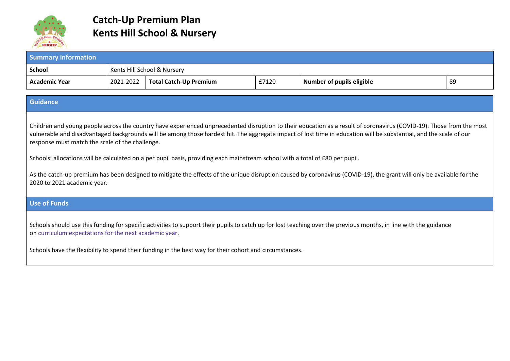

## **Catch-Up Premium Plan Kents Hill School & Nursery**

| <b>Summary information</b>                                                                                                                                                                                                                                                                                                                                                                                                                                                                                                                                                                                                                                                                                                             |                             |                               |       |                                  |    |  |
|----------------------------------------------------------------------------------------------------------------------------------------------------------------------------------------------------------------------------------------------------------------------------------------------------------------------------------------------------------------------------------------------------------------------------------------------------------------------------------------------------------------------------------------------------------------------------------------------------------------------------------------------------------------------------------------------------------------------------------------|-----------------------------|-------------------------------|-------|----------------------------------|----|--|
| <b>School</b>                                                                                                                                                                                                                                                                                                                                                                                                                                                                                                                                                                                                                                                                                                                          | Kents Hill School & Nursery |                               |       |                                  |    |  |
| <b>Academic Year</b>                                                                                                                                                                                                                                                                                                                                                                                                                                                                                                                                                                                                                                                                                                                   | 2021-2022                   | <b>Total Catch-Up Premium</b> | £7120 | <b>Number of pupils eligible</b> | 89 |  |
| <b>Guidance</b>                                                                                                                                                                                                                                                                                                                                                                                                                                                                                                                                                                                                                                                                                                                        |                             |                               |       |                                  |    |  |
| Children and young people across the country have experienced unprecedented disruption to their education as a result of coronavirus (COVID-19). Those from the most<br>vulnerable and disadvantaged backgrounds will be among those hardest hit. The aggregate impact of lost time in education will be substantial, and the scale of our<br>response must match the scale of the challenge.<br>Schools' allocations will be calculated on a per pupil basis, providing each mainstream school with a total of £80 per pupil.<br>As the catch-up premium has been designed to mitigate the effects of the unique disruption caused by coronavirus (COVID-19), the grant will only be available for the<br>2020 to 2021 academic year. |                             |                               |       |                                  |    |  |
| <b>Use of Funds</b>                                                                                                                                                                                                                                                                                                                                                                                                                                                                                                                                                                                                                                                                                                                    |                             |                               |       |                                  |    |  |
| Schools should use this funding for specific activities to support their pupils to catch up for lost teaching over the previous months, in line with the guidance<br>on curriculum expectations for the next academic year.                                                                                                                                                                                                                                                                                                                                                                                                                                                                                                            |                             |                               |       |                                  |    |  |
| Schools have the flexibility to spend their funding in the best way for their cohort and circumstances.                                                                                                                                                                                                                                                                                                                                                                                                                                                                                                                                                                                                                                |                             |                               |       |                                  |    |  |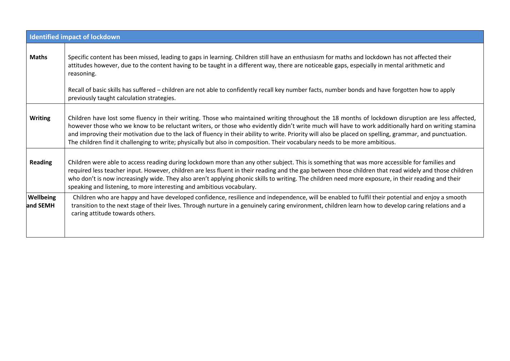| <b>Identified impact of lockdown</b> |                                                                                                                                                                                                                                                                                                                                                                                                                                                                                                                                                                                                    |  |  |  |  |
|--------------------------------------|----------------------------------------------------------------------------------------------------------------------------------------------------------------------------------------------------------------------------------------------------------------------------------------------------------------------------------------------------------------------------------------------------------------------------------------------------------------------------------------------------------------------------------------------------------------------------------------------------|--|--|--|--|
| <b>Maths</b>                         | Specific content has been missed, leading to gaps in learning. Children still have an enthusiasm for maths and lockdown has not affected their<br>attitudes however, due to the content having to be taught in a different way, there are noticeable gaps, especially in mental arithmetic and<br>reasoning.                                                                                                                                                                                                                                                                                       |  |  |  |  |
|                                      | Recall of basic skills has suffered - children are not able to confidently recall key number facts, number bonds and have forgotten how to apply<br>previously taught calculation strategies.                                                                                                                                                                                                                                                                                                                                                                                                      |  |  |  |  |
| <b>Writing</b>                       | Children have lost some fluency in their writing. Those who maintained writing throughout the 18 months of lockdown disruption are less affected,<br>however those who we know to be reluctant writers, or those who evidently didn't write much will have to work additionally hard on writing stamina<br>and improving their motivation due to the lack of fluency in their ability to write. Priority will also be placed on spelling, grammar, and punctuation.<br>The children find it challenging to write; physically but also in composition. Their vocabulary needs to be more ambitious. |  |  |  |  |
| <b>Reading</b>                       | Children were able to access reading during lockdown more than any other subject. This is something that was more accessible for families and<br>required less teacher input. However, children are less fluent in their reading and the gap between those children that read widely and those children<br>who don't is now increasingly wide. They also aren't applying phonic skills to writing. The children need more exposure, in their reading and their<br>speaking and listening, to more interesting and ambitious vocabulary.                                                            |  |  |  |  |
| Wellbeing<br>and SEMH                | Children who are happy and have developed confidence, resilience and independence, will be enabled to fulfil their potential and enjoy a smooth<br>transition to the next stage of their lives. Through nurture in a genuinely caring environment, children learn how to develop caring relations and a<br>caring attitude towards others.                                                                                                                                                                                                                                                         |  |  |  |  |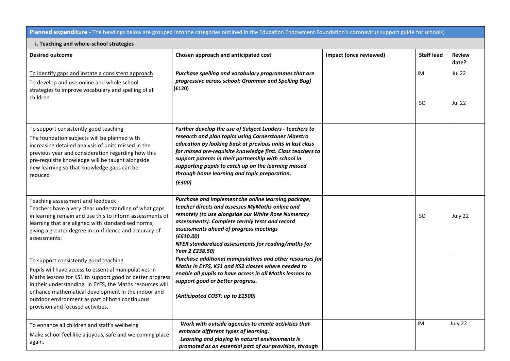**Planned expenditure -** The headings below are grouped into the categories outlined in the Education Endowment Foundation's coronavirus support guide for schools)

| i. Teaching and whole-school strategies                                                                                                                                                                                                                                                                                                                              |                                                                                                                                                                                                                                                                                                                                                                                                                      |                        |                   |                                |  |  |
|----------------------------------------------------------------------------------------------------------------------------------------------------------------------------------------------------------------------------------------------------------------------------------------------------------------------------------------------------------------------|----------------------------------------------------------------------------------------------------------------------------------------------------------------------------------------------------------------------------------------------------------------------------------------------------------------------------------------------------------------------------------------------------------------------|------------------------|-------------------|--------------------------------|--|--|
| <b>Desired outcome</b>                                                                                                                                                                                                                                                                                                                                               | Chosen approach and anticipated cost                                                                                                                                                                                                                                                                                                                                                                                 | Impact (once reviewed) | <b>Staff lead</b> | <b>Review</b><br>date?         |  |  |
| To identify gaps and instate a consistent approach<br>To develop and use online and whole school<br>strategies to improve vocabulary and spelling of all<br>children                                                                                                                                                                                                 | Purchase spelling and vocabulary programmes that are<br>progressive across school; Grammar and Spelling Bug)<br>(f120)                                                                                                                                                                                                                                                                                               |                        | JM<br><b>SO</b>   | <b>Jul 22</b><br><b>Jul 22</b> |  |  |
| To support consistently good teaching<br>The foundation subjects will be planned with<br>increasing detailed analysis of units missed in the<br>previous year and consideration regarding how this<br>pre-requisite knowledge will be taught alongside<br>new learning so that knowledge gaps can be<br>reduced                                                      | Further develop the use of Subject Leaders - teachers to<br>research and plan topics using Cornerstones Maestro<br>education by looking back at previous units in last class<br>for missed pre-requisite knowledge first. Class teachers to<br>support parents in their partnership with school in<br>supporting pupils to catch up on the learning missed<br>through home learning and topic preparation.<br>(E300) |                        |                   |                                |  |  |
| Teaching assessment and feedback<br>Teachers have a very clear understanding of what gaps<br>in learning remain and use this to inform assessments of<br>learning that are aligned with standardised norms,<br>giving a greater degree in confidence and accuracy of<br>assessments.                                                                                 | Purchase and implement the online learning package;<br>teacher directs and assesses MyMaths online and<br>remotely (to use alongside our White Rose Numeracy<br>assessments). Complete termly tests and record<br>assessments ahead of progress meetings<br>(£610.00)<br>NFER standardized assessments for reading/maths for<br>Year 2 £238.50)                                                                      |                        | <b>SO</b>         | July 22                        |  |  |
| To support consistently good teaching<br>Pupils will have access to essential manipulatives in<br>Maths lessons for KS1 to support good or better progress<br>in their understanding. In EYFS, the Maths resources will<br>enhance mathematical development in the indoor and<br>outdoor environment as part of both continuous<br>provision and focused activities. | Purchase additional manipulatives and other resources for<br>Maths in EYFS, KS1 and KS2 classes where needed to<br>enable all pupils to have access in all Maths lessons to<br>support good or better progress.<br>(Anticipated COST: up to £1500)                                                                                                                                                                   |                        |                   |                                |  |  |
| To enhance all children and staff's wellbeing<br>Make school feel like a joyous, safe and welcoming place<br>again.                                                                                                                                                                                                                                                  | Work with outside agencies to create activities that<br>embrace different types of learning.<br>Learning and playing in natural environments is<br>promoted as an essential part of our provision, through                                                                                                                                                                                                           |                        | JM                | July 22                        |  |  |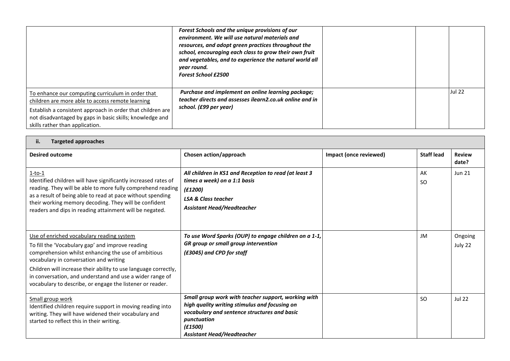|                                                                                                                                                                                                                                                                    | Forest Schools and the unique provisions of our<br>environment. We will use natural materials and<br>resources, and adopt green practices throughout the<br>school, encouraging each class to grow their own fruit<br>and vegetables, and to experience the natural world all<br>year round.<br><b>Forest School £2500</b> |  |               |
|--------------------------------------------------------------------------------------------------------------------------------------------------------------------------------------------------------------------------------------------------------------------|----------------------------------------------------------------------------------------------------------------------------------------------------------------------------------------------------------------------------------------------------------------------------------------------------------------------------|--|---------------|
| To enhance our computing curriculum in order that<br>children are more able to access remote learning<br>Establish a consistent approach in order that children are<br>not disadvantaged by gaps in basic skills; knowledge and<br>skills rather than application. | Purchase and implement an online learning package;<br>teacher directs and assesses ilearn2.co.uk online and in<br>school. (£99 per year)                                                                                                                                                                                   |  | <b>Jul 22</b> |

| ii.<br><b>Targeted approaches</b>                                                                                                                                                                                                                                                                                                                                                          |                                                                                                                                                                                                                     |                        |                   |                        |  |
|--------------------------------------------------------------------------------------------------------------------------------------------------------------------------------------------------------------------------------------------------------------------------------------------------------------------------------------------------------------------------------------------|---------------------------------------------------------------------------------------------------------------------------------------------------------------------------------------------------------------------|------------------------|-------------------|------------------------|--|
| <b>Desired outcome</b>                                                                                                                                                                                                                                                                                                                                                                     | Chosen action/approach                                                                                                                                                                                              | Impact (once reviewed) | <b>Staff lead</b> | <b>Review</b><br>date? |  |
| $1-to-1$<br>Identified children will have significantly increased rates of<br>reading. They will be able to more fully comprehend reading<br>as a result of being able to read at pace without spending<br>their working memory decoding. They will be confident<br>readers and dips in reading attainment will be negated.                                                                | All children in KS1 and Reception to read (at least 3<br>times a week) on a 1:1 basis<br>(f1200)<br><b>LSA &amp; Class teacher</b><br><b>Assistant Head/Headteacher</b>                                             |                        | AK<br><b>SO</b>   | <b>Jun 21</b>          |  |
| Use of enriched vocabulary reading system<br>To fill the 'Vocabulary gap' and improve reading<br>comprehension whilst enhancing the use of ambitious<br>vocabulary in conversation and writing<br>Children will increase their ability to use language correctly,<br>in conversation, and understand and use a wider range of<br>vocabulary to describe, or engage the listener or reader. | To use Word Sparks (OUP) to engage children on a 1-1,<br>GR group or small group intervention<br>(£3045) and CPD for staff                                                                                          |                        | JM                | Ongoing<br>July 22     |  |
| Small group work<br>Identified children require support in moving reading into<br>writing. They will have widened their vocabulary and<br>started to reflect this in their writing.                                                                                                                                                                                                        | Small group work with teacher support, working with<br>high quality writing stimulus and focusing on<br>vocabulary and sentence structures and basic<br>punctuation<br>(E1500)<br><b>Assistant Head/Headteacher</b> |                        | SO.               | <b>Jul 22</b>          |  |